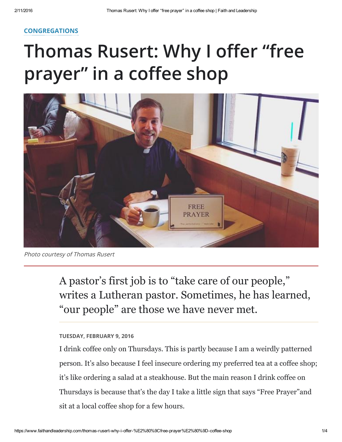## [CONGREGATIONS](https://www.faithandleadership.com/topics/congregations)

## Thomas Rusert: Why I offer "free prayer" in a coffee shop



Photo courtesy of Thomas Rusert

A pastor's first job is to "take care of our people, " writes a Lutheran pastor. Sometimes, he has learned, "our people" are those we have never met.

## TUESDAY, FEBRUARY 9, 2016

I drink coffee only on Thursdays. This is partly because I am a weirdly patterned person. It's also because I feel insecure ordering my preferred tea at a coffee shop; it's like ordering a salad at a steakhouse. But the main reason I drink coffee on Thursdays is because that's the day I take a little sign that says "Free Prayer"and sit at a local coffee shop for a few hours.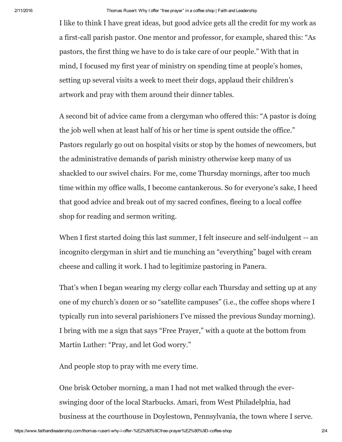I like to think I have great ideas, but good advice gets all the credit for my work as a first-call parish pastor. One mentor and professor, for example, shared this: "As pastors, the first thing we have to do is take care of our people." With that in mind, I focused my first year of ministry on spending time at people's homes, setting up several visits a week to meet their dogs, applaud their children's artwork and pray with them around their dinner tables.

A second bit of advice came from a clergyman who offered this: "A pastor is doing the job well when at least half of his or her time is spent outside the office." Pastors regularly go out on hospital visits or stop by the homes of newcomers, but the administrative demands of parish ministry otherwise keep many of us shackled to our swivel chairs. For me, come Thursday mornings, after too much time within my office walls, I become cantankerous. So for everyone's sake, I heed that good advice and break out of my sacred confines, fleeing to a local coffee shop for reading and sermon writing.

When I first started doing this last summer, I felt insecure and self-indulgent -- an incognito clergyman in shirt and tie munching an "everything" bagel with cream cheese and calling it work. I had to legitimize pastoring in Panera.

That's when I began wearing my clergy collar each Thursday and setting up at any one of my church's dozen or so "satellite campuses" (i.e., the coffee shops where I typically run into several parishioners I've missed the previous Sunday morning). I bring with me a sign that says "Free Prayer," with a quote at the bottom from Martin Luther: "Pray, and let God worry."

And people stop to pray with me every time.

One brisk October morning, a man I had not met walked through the everswinging door of the local Starbucks. Amari, from West Philadelphia, had business at the courthouse in Doylestown, Pennsylvania, the town where I serve.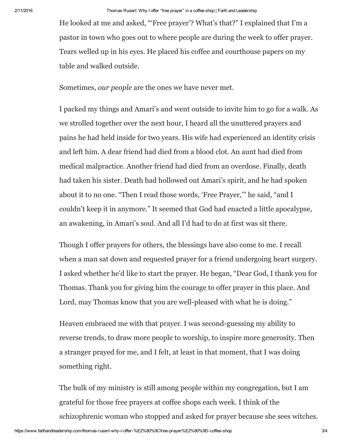He looked at me and asked, "'Free prayer'? What's that?" I explained that I'm a pastor in town who goes out to where people are during the week to offer prayer. Tears welled up in his eyes. He placed his coffee and courthouse papers on my table and walked outside.

Sometimes, our people are the ones we have never met.

I packed my things and Amari's and went outside to invite him to go for a walk. As we strolled together over the next hour, I heard all the unuttered prayers and pains he had held inside for two years. His wife had experienced an identity crisis and left him. A dear friend had died from a blood clot. An aunt had died from medical malpractice. Another friend had died from an overdose. Finally, death had taken his sister. Death had hollowed out Amari's spirit, and he had spoken about it to no one. "Then I read those words, 'Free Prayer,'" he said, "and I couldn't keep it in anymore." It seemed that God had enacted a little apocalypse, an awakening, in Amari's soul. And all I'd had to do at first was sit there.

Though I offer prayers for others, the blessings have also come to me. I recall when a man sat down and requested prayer for a friend undergoing heart surgery. I asked whether he'd like to start the prayer. He began, "Dear God, I thank you for Thomas. Thank you for giving him the courage to offer prayer in this place. And Lord, may Thomas know that you are well-pleased with what he is doing."

Heaven embraced me with that prayer. I was second-guessing my ability to reverse trends, to draw more people to worship, to inspire more generosity. Then a stranger prayed for me, and I felt, at least in that moment, that I was doing something right.

The bulk of my ministry is still among people within my congregation, but I am grateful for those free prayers at coffee shops each week. I think of the schizophrenic woman who stopped and asked for prayer because she sees witches.